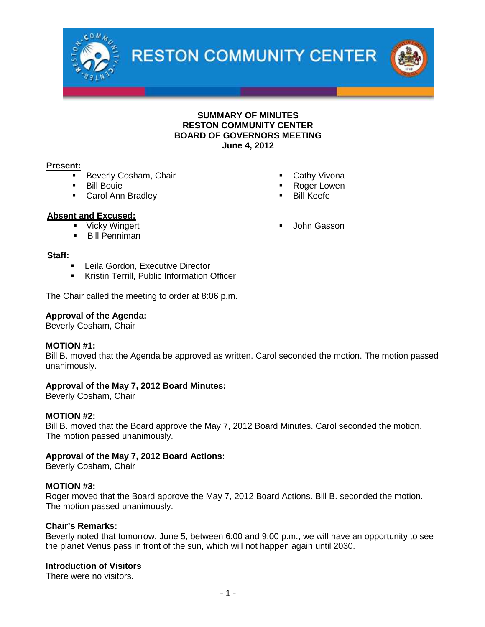



# **Present:**

- Beverly Cosham, Chair
- **Bill Bouie**
- **Carol Ann Bradley**
- Roger Lowen
	- Bill Keefe

**John Gasson** 

Cathy Vivona

# **Absent and Excused:**

- **•** Vicky Wingert
- **Bill Penniman**

#### **Staff:**

- Leila Gordon, Executive Director
- **Kristin Terrill, Public Information Officer**

The Chair called the meeting to order at 8:06 p.m.

#### **Approval of the Agenda:**

Beverly Cosham, Chair

#### **MOTION #1:**

Bill B. moved that the Agenda be approved as written. Carol seconded the motion. The motion passed unanimously.

#### **Approval of the May 7, 2012 Board Minutes:**

Beverly Cosham, Chair

#### **MOTION #2:**

Bill B. moved that the Board approve the May 7, 2012 Board Minutes. Carol seconded the motion. The motion passed unanimously.

#### **Approval of the May 7, 2012 Board Actions:**

Beverly Cosham, Chair

#### **MOTION #3:**

Roger moved that the Board approve the May 7, 2012 Board Actions. Bill B. seconded the motion. The motion passed unanimously.

#### **Chair's Remarks:**

Beverly noted that tomorrow, June 5, between 6:00 and 9:00 p.m., we will have an opportunity to see the planet Venus pass in front of the sun, which will not happen again until 2030.

# **Introduction of Visitors**

There were no visitors.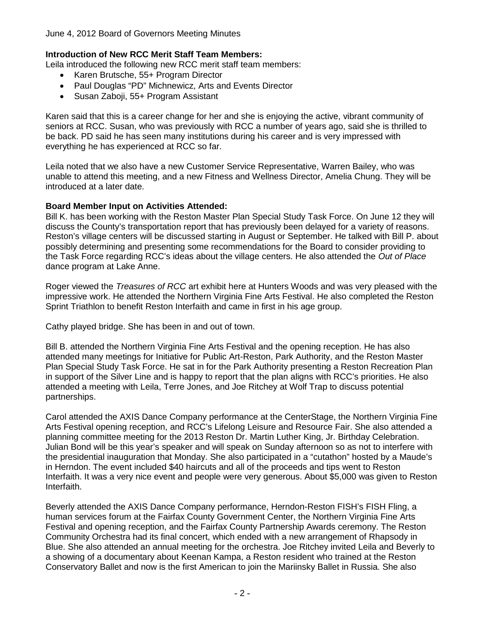# **Introduction of New RCC Merit Staff Team Members:**

Leila introduced the following new RCC merit staff team members:

- Karen Brutsche, 55+ Program Director
- Paul Douglas "PD" Michnewicz, Arts and Events Director
- Susan Zaboji, 55+ Program Assistant

Karen said that this is a career change for her and she is enjoying the active, vibrant community of seniors at RCC. Susan, who was previously with RCC a number of years ago, said she is thrilled to be back. PD said he has seen many institutions during his career and is very impressed with everything he has experienced at RCC so far.

Leila noted that we also have a new Customer Service Representative, Warren Bailey, who was unable to attend this meeting, and a new Fitness and Wellness Director, Amelia Chung. They will be introduced at a later date.

# **Board Member Input on Activities Attended:**

Bill K. has been working with the Reston Master Plan Special Study Task Force. On June 12 they will discuss the County's transportation report that has previously been delayed for a variety of reasons. Reston's village centers will be discussed starting in August or September. He talked with Bill P. about possibly determining and presenting some recommendations for the Board to consider providing to the Task Force regarding RCC's ideas about the village centers. He also attended the *Out of Place* dance program at Lake Anne.

Roger viewed the *Treasures of RCC* art exhibit here at Hunters Woods and was very pleased with the impressive work. He attended the Northern Virginia Fine Arts Festival. He also completed the Reston Sprint Triathlon to benefit Reston Interfaith and came in first in his age group.

Cathy played bridge. She has been in and out of town.

Bill B. attended the Northern Virginia Fine Arts Festival and the opening reception. He has also attended many meetings for Initiative for Public Art-Reston, Park Authority, and the Reston Master Plan Special Study Task Force. He sat in for the Park Authority presenting a Reston Recreation Plan in support of the Silver Line and is happy to report that the plan aligns with RCC's priorities. He also attended a meeting with Leila, Terre Jones, and Joe Ritchey at Wolf Trap to discuss potential partnerships.

Carol attended the AXIS Dance Company performance at the CenterStage, the Northern Virginia Fine Arts Festival opening reception, and RCC's Lifelong Leisure and Resource Fair. She also attended a planning committee meeting for the 2013 Reston Dr. Martin Luther King, Jr. Birthday Celebration. Julian Bond will be this year's speaker and will speak on Sunday afternoon so as not to interfere with the presidential inauguration that Monday. She also participated in a "cutathon" hosted by a Maude's in Herndon. The event included \$40 haircuts and all of the proceeds and tips went to Reston Interfaith. It was a very nice event and people were very generous. About \$5,000 was given to Reston Interfaith.

Beverly attended the AXIS Dance Company performance, Herndon-Reston FISH's FISH Fling, a human services forum at the Fairfax County Government Center, the Northern Virginia Fine Arts Festival and opening reception, and the Fairfax County Partnership Awards ceremony. The Reston Community Orchestra had its final concert, which ended with a new arrangement of Rhapsody in Blue. She also attended an annual meeting for the orchestra. Joe Ritchey invited Leila and Beverly to a showing of a documentary about Keenan Kampa, a Reston resident who trained at the Reston Conservatory Ballet and now is the first American to join the Mariinsky Ballet in Russia. She also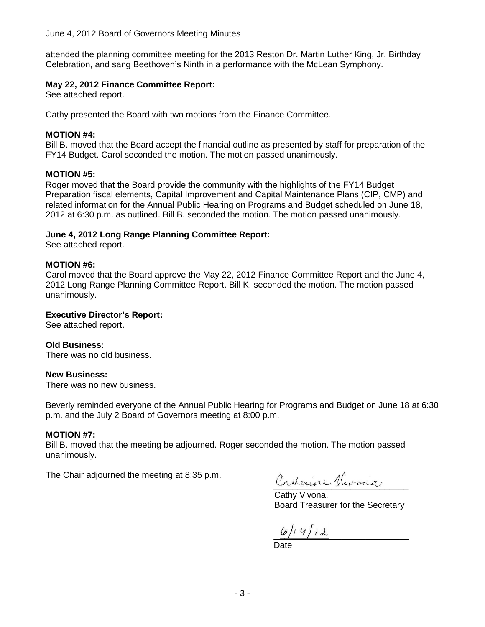## June 4, 2012 Board of Governors Meeting Minutes

attended the planning committee meeting for the 2013 Reston Dr. Martin Luther King, Jr. Birthday Celebration, and sang Beethoven's Ninth in a performance with the McLean Symphony.

# **May 22, 2012 Finance Committee Report:**

See attached report.

Cathy presented the Board with two motions from the Finance Committee.

# **MOTION #4:**

Bill B. moved that the Board accept the financial outline as presented by staff for preparation of the FY14 Budget. Carol seconded the motion. The motion passed unanimously.

# **MOTION #5:**

Roger moved that the Board provide the community with the highlights of the FY14 Budget Preparation fiscal elements, Capital Improvement and Capital Maintenance Plans (CIP, CMP) and related information for the Annual Public Hearing on Programs and Budget scheduled on June 18, 2012 at 6:30 p.m. as outlined. Bill B. seconded the motion. The motion passed unanimously.

# **June 4, 2012 Long Range Planning Committee Report:**

See attached report.

# **MOTION #6:**

Carol moved that the Board approve the May 22, 2012 Finance Committee Report and the June 4, 2012 Long Range Planning Committee Report. Bill K. seconded the motion. The motion passed unanimously.

#### **Executive Director's Report:**

See attached report.

# **Old Business:**

There was no old business.

#### **New Business:**

There was no new business.

Beverly reminded everyone of the Annual Public Hearing for Programs and Budget on June 18 at 6:30 p.m. and the July 2 Board of Governors meeting at 8:00 p.m.

#### **MOTION #7:**

Bill B. moved that the meeting be adjourned. Roger seconded the motion. The motion passed unanimously.

The Chair adjourned the meeting at 8:35 p.m.

Catherine Vivana

Cathy Vivona, Board Treasurer for the Secretary

 $\frac{1}{2}$ 

Date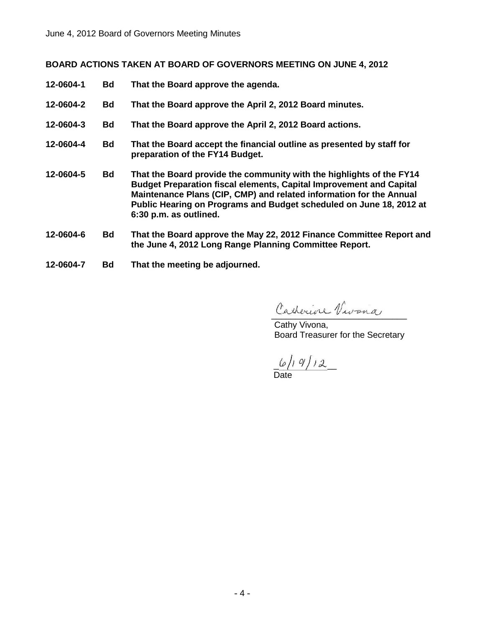# **BOARD ACTIONS TAKEN AT BOARD OF GOVERNORS MEETING ON JUNE 4, 2012**

- **12-0604-1 Bd That the Board approve the agenda. 12-0604-2 Bd That the Board approve the April 2, 2012 Board minutes. 12-0604-3 Bd That the Board approve the April 2, 2012 Board actions. 12-0604-4 Bd That the Board accept the financial outline as presented by staff for preparation of the FY14 Budget. 12-0604-5 Bd That the Board provide the community with the highlights of the FY14 Budget Preparation fiscal elements, Capital Improvement and Capital Maintenance Plans (CIP, CMP) and related information for the Annual Public Hearing on Programs and Budget scheduled on June 18, 2012 at 6:30 p.m. as outlined. 12-0604-6 Bd That the Board approve the May 22, 2012 Finance Committee Report and the June 4, 2012 Long Range Planning Committee Report.**
- **12-0604-7 Bd That the meeting be adjourned.**

Catherine Vivona

Cathy Vivona, Board Treasurer for the Secretary

 $\_$   $\omega$  / 1  $\,$   $\,$  1  $\,$   $\omega$   $\_$ Date

- 4 -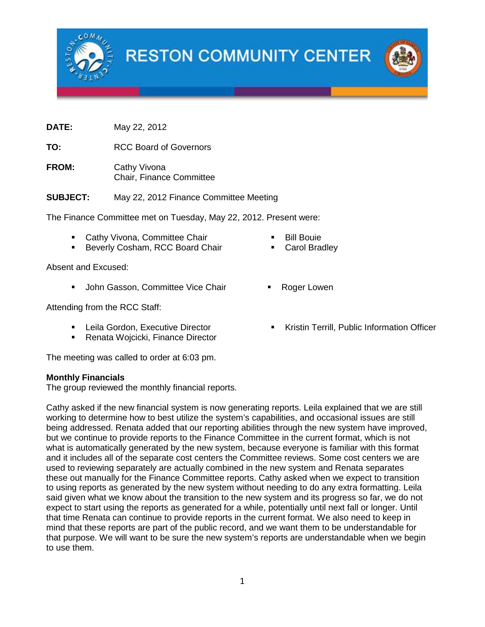

**RESTON COMMUNITY CENTER** 

**DATE:** May 22, 2012

**TO:** RCC Board of Governors

**FROM:** Cathy Vivona Chair, Finance Committee

**SUBJECT:** May 22, 2012 Finance Committee Meeting

The Finance Committee met on Tuesday, May 22, 2012. Present were:

- **Cathy Vivona, Committee Chair**
- **Beverly Cosham, RCC Board Chair**

Absent and Excused:

• John Gasson, Committee Vice Chair • Roger Lowen

Attending from the RCC Staff:

- Leila Gordon, Executive Director
- **Renata Wojcicki, Finance Director**

The meeting was called to order at 6:03 pm.

#### **Monthly Financials**

The group reviewed the monthly financial reports.

Cathy asked if the new financial system is now generating reports. Leila explained that we are still working to determine how to best utilize the system's capabilities, and occasional issues are still being addressed. Renata added that our reporting abilities through the new system have improved, but we continue to provide reports to the Finance Committee in the current format, which is not what is automatically generated by the new system, because everyone is familiar with this format and it includes all of the separate cost centers the Committee reviews. Some cost centers we are used to reviewing separately are actually combined in the new system and Renata separates these out manually for the Finance Committee reports. Cathy asked when we expect to transition to using reports as generated by the new system without needing to do any extra formatting. Leila said given what we know about the transition to the new system and its progress so far, we do not expect to start using the reports as generated for a while, potentially until next fall or longer. Until that time Renata can continue to provide reports in the current format. We also need to keep in mind that these reports are part of the public record, and we want them to be understandable for that purpose. We will want to be sure the new system's reports are understandable when we begin to use them.

- Bill Bouie
- Carol Bradley
- 
- Kristin Terrill, Public Information Officer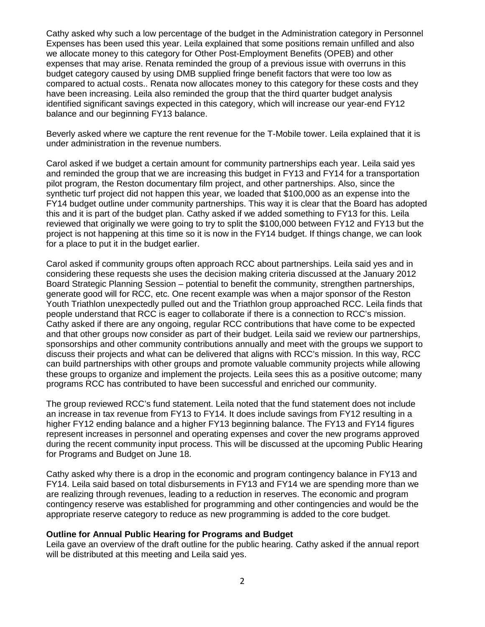Cathy asked why such a low percentage of the budget in the Administration category in Personnel Expenses has been used this year. Leila explained that some positions remain unfilled and also we allocate money to this category for Other Post-Employment Benefits (OPEB) and other expenses that may arise. Renata reminded the group of a previous issue with overruns in this budget category caused by using DMB supplied fringe benefit factors that were too low as compared to actual costs.. Renata now allocates money to this category for these costs and they have been increasing. Leila also reminded the group that the third quarter budget analysis identified significant savings expected in this category, which will increase our year-end FY12 balance and our beginning FY13 balance.

Beverly asked where we capture the rent revenue for the T-Mobile tower. Leila explained that it is under administration in the revenue numbers.

Carol asked if we budget a certain amount for community partnerships each year. Leila said yes and reminded the group that we are increasing this budget in FY13 and FY14 for a transportation pilot program, the Reston documentary film project, and other partnerships. Also, since the synthetic turf project did not happen this year, we loaded that \$100,000 as an expense into the FY14 budget outline under community partnerships. This way it is clear that the Board has adopted this and it is part of the budget plan. Cathy asked if we added something to FY13 for this. Leila reviewed that originally we were going to try to split the \$100,000 between FY12 and FY13 but the project is not happening at this time so it is now in the FY14 budget. If things change, we can look for a place to put it in the budget earlier.

Carol asked if community groups often approach RCC about partnerships. Leila said yes and in considering these requests she uses the decision making criteria discussed at the January 2012 Board Strategic Planning Session – potential to benefit the community, strengthen partnerships, generate good will for RCC, etc. One recent example was when a major sponsor of the Reston Youth Triathlon unexpectedly pulled out and the Triathlon group approached RCC. Leila finds that people understand that RCC is eager to collaborate if there is a connection to RCC's mission. Cathy asked if there are any ongoing, regular RCC contributions that have come to be expected and that other groups now consider as part of their budget. Leila said we review our partnerships, sponsorships and other community contributions annually and meet with the groups we support to discuss their projects and what can be delivered that aligns with RCC's mission. In this way, RCC can build partnerships with other groups and promote valuable community projects while allowing these groups to organize and implement the projects. Leila sees this as a positive outcome; many programs RCC has contributed to have been successful and enriched our community.

The group reviewed RCC's fund statement. Leila noted that the fund statement does not include an increase in tax revenue from FY13 to FY14. It does include savings from FY12 resulting in a higher FY12 ending balance and a higher FY13 beginning balance. The FY13 and FY14 figures represent increases in personnel and operating expenses and cover the new programs approved during the recent community input process. This will be discussed at the upcoming Public Hearing for Programs and Budget on June 18.

Cathy asked why there is a drop in the economic and program contingency balance in FY13 and FY14. Leila said based on total disbursements in FY13 and FY14 we are spending more than we are realizing through revenues, leading to a reduction in reserves. The economic and program contingency reserve was established for programming and other contingencies and would be the appropriate reserve category to reduce as new programming is added to the core budget.

#### **Outline for Annual Public Hearing for Programs and Budget**

Leila gave an overview of the draft outline for the public hearing. Cathy asked if the annual report will be distributed at this meeting and Leila said yes.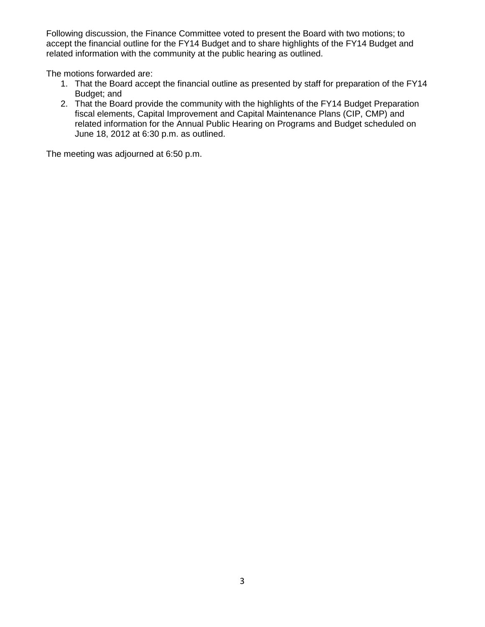Following discussion, the Finance Committee voted to present the Board with two motions; to accept the financial outline for the FY14 Budget and to share highlights of the FY14 Budget and related information with the community at the public hearing as outlined.

The motions forwarded are:

- 1. That the Board accept the financial outline as presented by staff for preparation of the FY14 Budget; and
- 2. That the Board provide the community with the highlights of the FY14 Budget Preparation fiscal elements, Capital Improvement and Capital Maintenance Plans (CIP, CMP) and related information for the Annual Public Hearing on Programs and Budget scheduled on June 18, 2012 at 6:30 p.m. as outlined.

The meeting was adjourned at 6:50 p.m.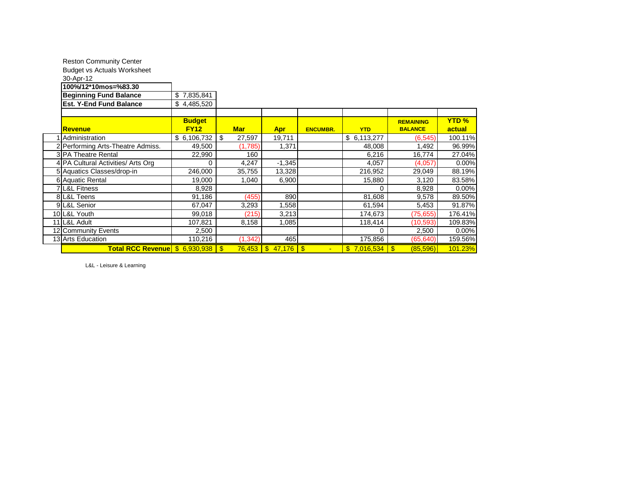| <b>Reston Community Center</b>     |               |              |                       |                 |             |                  |             |
|------------------------------------|---------------|--------------|-----------------------|-----------------|-------------|------------------|-------------|
| <b>Budget vs Actuals Worksheet</b> |               |              |                       |                 |             |                  |             |
| 30-Apr-12                          |               |              |                       |                 |             |                  |             |
| 100%/12*10mos=%83.30               |               |              |                       |                 |             |                  |             |
| <b>Beginning Fund Balance</b>      | \$7,835,841   |              |                       |                 |             |                  |             |
| <b>Est. Y-End Fund Balance</b>     | \$4,485,520   |              |                       |                 |             |                  |             |
|                                    |               |              |                       |                 |             |                  |             |
|                                    | <b>Budget</b> |              |                       |                 |             | <b>REMAINING</b> | <b>YTD%</b> |
| Revenue                            | <b>FY12</b>   | <b>Mar</b>   | <b>Apr</b>            | <b>ENCUMBR.</b> | <b>YTD</b>  | <b>BALANCE</b>   | actual      |
| Administration                     | \$6,106,732   | \$<br>27,597 | 19,711                |                 | \$6,113,277 | (6, 545)         | 100.11%     |
| 2 Performing Arts-Theatre Admiss.  | 49,500        | (1,785)      | 1,371                 |                 | 48,008      | 1,492            | 96.99%      |
| <b>3IPA Theatre Rental</b>         | 22,990        | 160          |                       |                 | 6,216       | 16,774           | 27.04%      |
| 4 PA Cultural Activities/ Arts Org | 0             | 4,247        | $-1,345$              |                 | 4,057       | (4,057)          | 0.00%       |
| 5 Aquatics Classes/drop-in         | 246,000       | 35,755       | 13,328                |                 | 216,952     | 29,049           | 88.19%      |
| 6 Aquatic Rental                   | 19,000        | 1,040        | 6,900                 |                 | 15,880      | 3,120            | 83.58%      |
| <b>7 L&amp;L Fitness</b>           | 8,928         |              |                       |                 | 0           | 8,928            | 0.00%       |
| 8 L&L Teens                        | 91,186        | (455)        | 890                   |                 | 81,608      | 9,578            | 89.50%      |
| 9 L&L Senior                       | 67,047        | 3,293        | .558                  |                 | 61,594      | 5,453            | 91.87%      |
| 10 L&L Youth                       | 99,018        | (215)        | 3,213                 |                 | 174,673     | (75, 655)        | 176.41%     |
| 11 L&L Adult                       | 107,821       | 8,158        | 1,085                 |                 | 118,414     | (10, 593)        | 109.83%     |
| 12 Community Events                | 2,500         |              |                       |                 | 0           | 2,500            | 0.00%       |
| 13 Arts Education                  | 110,216       | (1, 342)     | 465                   |                 | 175,856     | (65, 640)        | 159.56%     |
| <b>Total RCC Revenue</b>           | \$6,930,938   |              | $76,453$ \$ 47,176 \$ |                 |             | (85, 596)        | 101.23%     |

L&L - Leisure & Learning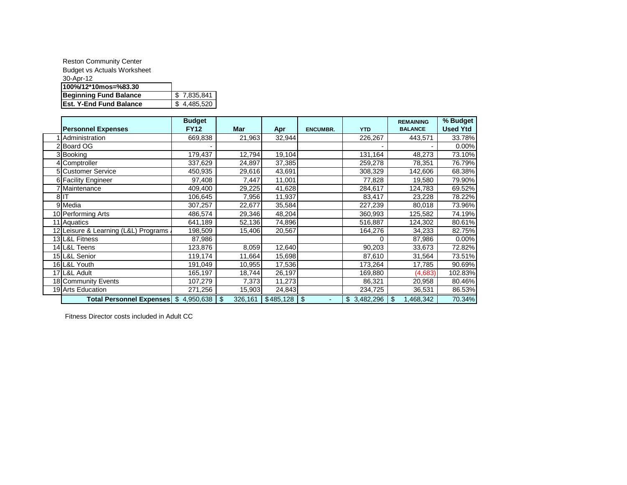| <b>Reston Community Center</b>     |             |
|------------------------------------|-------------|
| <b>Budget vs Actuals Worksheet</b> |             |
| 30-Apr-12                          |             |
| 100%/12*10mos=%83.30               |             |
| <b>Beginning Fund Balance</b>      | \$7.835.841 |
| <b>Est. Y-End Fund Balance</b>     | \$4,485,520 |
|                                    |             |

|                                         | <b>Budget</b> |               |           |                 |             | <b>REMAINING</b> | % Budget        |
|-----------------------------------------|---------------|---------------|-----------|-----------------|-------------|------------------|-----------------|
| <b>Personnel Expenses</b>               | <b>FY12</b>   | <b>Mar</b>    | Apr       | <b>ENCUMBR.</b> | <b>YTD</b>  | <b>BALANCE</b>   | <b>Used Ytd</b> |
| Administration                          | 669,838       | 21,963        | 32,944    |                 | 226,267     | 443,571          | 33.78%          |
| 2 Board OG                              |               |               |           |                 |             |                  | 0.00%           |
| 3 Booking                               | 179,437       | 12,794        | 19,104    |                 | 131,164     | 48,273           | 73.10%          |
| 4 Comptroller                           | 337,629       | 24,897        | 37,385    |                 | 259,278     | 78,351           | 76.79%          |
| <b>5</b> Customer Service               | 450,935       | 29,616        | 43,691    |                 | 308,329     | 142,606          | 68.38%          |
| 6 Facility Engineer                     | 97,408        | 7,447         | 11,001    |                 | 77,828      | 19,580           | 79.90%          |
| 7 Maintenance                           | 409,400       | 29,225        | 41,628    |                 | 284,617     | 124,783          | 69.52%          |
| 8IIT                                    | 106,645       | 7,956         | 11,937    |                 | 83,417      | 23,228           | 78.22%          |
| 9 Media                                 | 307,257       | 22,677        | 35,584    |                 | 227,239     | 80,018           | 73.96%          |
| 10 Performing Arts                      | 486,574       | 29,346        | 48,204    |                 | 360,993     | 125,582          | 74.19%          |
| 11 Aquatics                             | 641,189       | 52,136        | 74,896    |                 | 516,887     | 124,302          | 80.61%          |
| 12 Leisure & Learning (L&L) Programs    | 198,509       | 15,406        | 20,567    |                 | 164,276     | 34,233           | 82.75%          |
| 13 L&L Fitness                          | 87,986        |               |           |                 | 0           | 87,986           | 0.00%           |
| 14 L&L Teens                            | 123,876       | 8,059         | 12,640    |                 | 90,203      | 33,673           | 72.82%          |
| 15 L&L Senior                           | 119,174       | 11,664        | 15,698    |                 | 87,610      | 31,564           | 73.51%          |
| 16 L&L Youth                            | 191,049       | 10,955        | 17,536    |                 | 173,264     | 17,785           | 90.69%          |
| 17 L&L Adult                            | 165,197       | 18,744        | 26,197    |                 | 169,880     | (4,683)          | 102.83%         |
| 18 Community Events                     | 107,279       | 7,373         | 11,273    |                 | 86,321      | 20,958           | 80.46%          |
| 19 Arts Education                       | 271,256       | 15,903        | 24,843    |                 | 234,725     | 36,531           | 86.53%          |
| Total Personnel Expenses   \$ 4,950,638 |               | \$<br>326,161 | \$485,128 | 1 \$            | \$3,482,296 | .468,342<br>\$   | 70.34%          |

Fitness Director costs included in Adult CC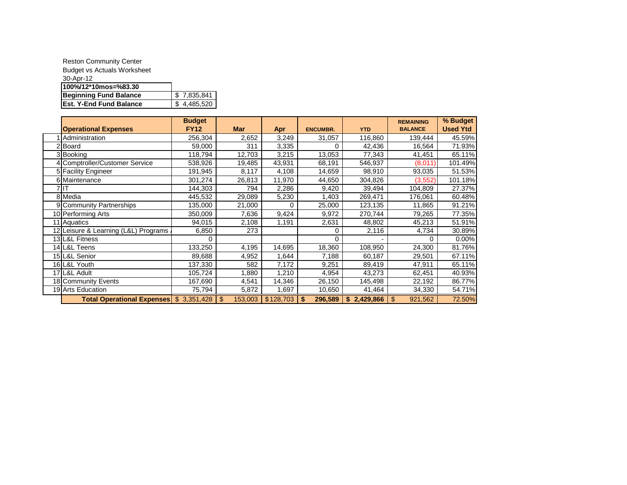| <b>Reston Community Center</b>     |             |
|------------------------------------|-------------|
| <b>Budget vs Actuals Worksheet</b> |             |
| 30-Apr-12                          |             |
| 100%/12*10mos=%83.30               |             |
| <b>Beginning Fund Balance</b>      | \$7,835,841 |
| <b>Est. Y-End Fund Balance</b>     | \$4,485,520 |

|                                         | <b>Budget</b> |               |           |                 |                           | <b>REMAINING</b> | % Budget        |
|-----------------------------------------|---------------|---------------|-----------|-----------------|---------------------------|------------------|-----------------|
| <b>Operational Expenses</b>             | <b>FY12</b>   | <b>Mar</b>    | Apr       | <b>ENCUMBR.</b> | <b>YTD</b>                | <b>BALANCE</b>   | <b>Used Ytd</b> |
| Administration                          | 256,304       | 2,652         | 3,249     | 31,057          | 116,860                   | 139,444          | 45.59%          |
| 2 Board                                 | 59,000        | 311           | 3,335     | 0               | 42,436                    | 16,564           | 71.93%          |
| 3 Booking                               | 118,794       | 12,703        | 3,215     | 13,053          | 77,343                    | 41,451           | 65.11%          |
| 4 Comptroller/Customer Service          | 538,926       | 19,485        | 43,931    | 68,191          | 546,937                   | (8,011)          | 101.49%         |
| 5 Facility Engineer                     | 191,945       | 8,117         | 4,108     | 14,659          | 98,910                    | 93,035           | 51.53%          |
| 6 Maintenance                           | 301,274       | 26,813        | 11,970    | 44,650          | 304,826                   | (3, 552)         | 101.18%         |
| 7 I T                                   | 144,303       | 794           | 2,286     | 9,420           | 39,494                    | 104,809          | 27.37%          |
| 8 Media                                 | 445,532       | 29,089        | 5,230     | 1,403           | 269,471                   | 176,061          | 60.48%          |
| 9 Community Partnerships                | 135,000       | 21,000        |           | 25,000          | 123,135                   | 11,865           | 91.21%          |
| 10 Performing Arts                      | 350,009       | 7,636         | 9,424     | 9,972           | 270,744                   | 79,265           | 77.35%          |
| 11 Aquatics                             | 94,015        | 2,108         | 1,191     | 2,631           | 48,802                    | 45,213           | 51.91%          |
| 12 Leisure & Learning (L&L) Programs    | 6,850         | 273           |           | 0               | 2,116                     | 4,734            | 30.89%          |
| 13 L&L Fitness                          |               |               |           | 0               |                           |                  | 0.00%           |
| 14 L&L Teens                            | 133,250       | 4,195         | 14,695    | 18,360          | 108,950                   | 24,300           | 81.76%          |
| 15 L&L Senior                           | 89,688        | 4,952         | 1,644     | 7,188           | 60,187                    | 29,501           | 67.11%          |
| 16 L&L Youth                            | 137,330       | 582           | 7,172     | 9,251           | 89,419                    | 47,911           | 65.11%          |
| 17 L&L Adult                            | 105,724       | 1,880         | ,210      | 4,954           | 43,273                    | 62,451           | 40.93%          |
| 18 Community Events                     | 167,690       | 4,541         | 14,346    | 26,150          | 145,498                   | 22,192           | 86.77%          |
| 19 Arts Education                       | 75,794        | 5,872         | 1,697     | 10,650          | 41,464                    | 34,330           | 54.71%          |
| Total Operational Expenses \$ 3,351,428 |               | \$<br>153,003 | \$128,703 | 296,589<br>\$   | $\mathbf{s}$<br>2,429,866 | \$<br>921,562    | 72.50%          |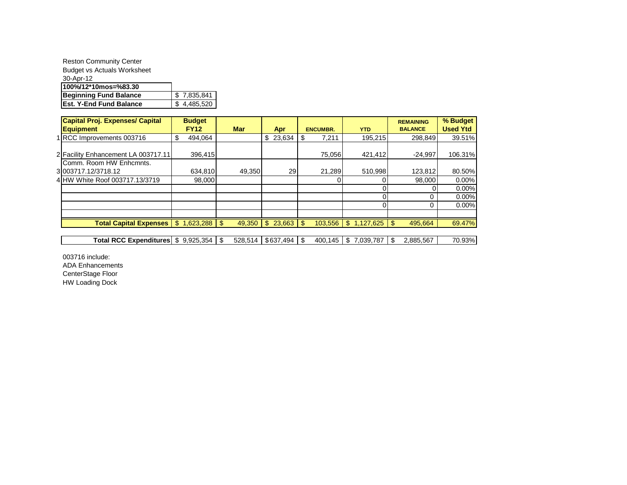| <b>Reston Community Center</b>     |             |
|------------------------------------|-------------|
| <b>Budget vs Actuals Worksheet</b> |             |
| 30-Apr-12                          |             |
| 100%/12*10mos=%83.30               |             |
| <b>Beginning Fund Balance</b>      | \$7,835,841 |
| <b>Est. Y-End Fund Balance</b>     | \$4,485,520 |

| <b>Capital Proj. Expenses/ Capital</b>         | <b>Budget</b> |               |                              |                 |                               | <b>REMAINING</b> | % Budget        |
|------------------------------------------------|---------------|---------------|------------------------------|-----------------|-------------------------------|------------------|-----------------|
| <b>Equipment</b>                               | <b>FY12</b>   | <b>Mar</b>    | Apr                          | <b>ENCUMBR.</b> | <b>YTD</b>                    | <b>BALANCE</b>   | <b>Used Ytd</b> |
| 1 RCC Improvements 003716                      | \$<br>494.064 |               | \$23,634                     | 7,211           | 195,215                       | 298.849          | 39.51%          |
| 2 Facility Enhancement LA 003717.11            | 396,415       |               |                              | 75,056          | 421,412                       | $-24,997$        | 106.31%         |
| Comm. Room HW Enhcmnts.<br>3 003717.12/3718.12 | 634,810       | 49,350        | 29                           | 21,289          | 510,998                       | 123,812          | 80.50%          |
| 4 HW White Roof 003717.13/3719                 | 98,000        |               |                              |                 |                               | 98,000           | 0.00%           |
|                                                |               |               |                              |                 |                               |                  | 0.00%           |
|                                                |               |               |                              |                 |                               | 0                | 0.00%           |
|                                                |               |               |                              |                 |                               | 0                | 0.00%           |
|                                                |               |               |                              |                 |                               |                  |                 |
| Total Capital Expenses   \$ 1,623,288   \$     |               | 49,350        | $\mathbf{\$}$<br>$23.663$ \$ |                 | $103,556$ \ \$ 1,127,625 \ \$ | 495.664          | 69.47%          |
|                                                |               |               |                              |                 |                               |                  |                 |
| Total RCC Expenditures   \$                    | 9.925.354     | \$<br>528.514 | \$637.494                    | 400.145         | \$<br>7.039.787               | 2,885,567        | 70.93%          |

003716 include: ADA Enhancements CenterStage Floor HW Loading Dock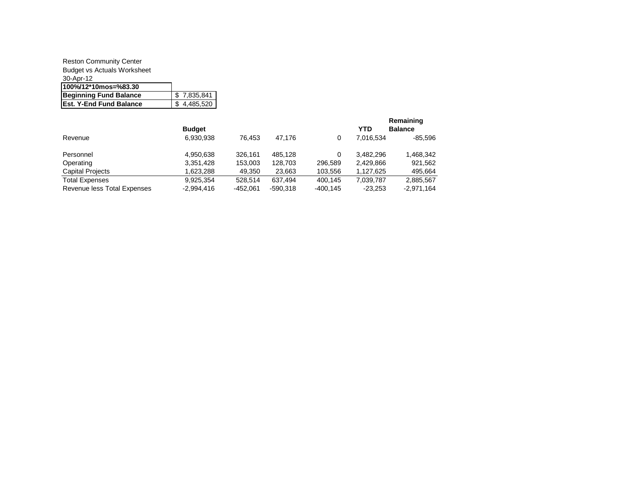#### Reston Community Center Budget vs Actuals Worksheet 30-Apr-12 **100%/12\*10mos=%83.30 Beginning Fund Balance | \$ 7,835,841 Est. Y-End Fund Balance 4 4,485,520**

|                             |               |            |            |            |           | Remaining      |
|-----------------------------|---------------|------------|------------|------------|-----------|----------------|
|                             | <b>Budget</b> |            |            |            | YTD       | <b>Balance</b> |
| Revenue                     | 6,930,938     | 76.453     | 47.176     |            | 7.016.534 | $-85,596$      |
| Personnel                   | 4,950,638     | 326.161    | 485.128    |            | 3.482.296 | 1,468,342      |
| Operating                   | 3,351,428     | 153,003    | 128,703    | 296.589    | 2.429.866 | 921,562        |
| <b>Capital Projects</b>     | 1.623.288     | 49,350     | 23,663     | 103,556    | 1.127.625 | 495,664        |
| <b>Total Expenses</b>       | 9,925,354     | 528.514    | 637.494    | 400.145    | 7.039.787 | 2,885,567      |
| Revenue less Total Expenses | $-2,994,416$  | $-452.061$ | $-590.318$ | $-400.145$ | $-23.253$ | $-2.971.164$   |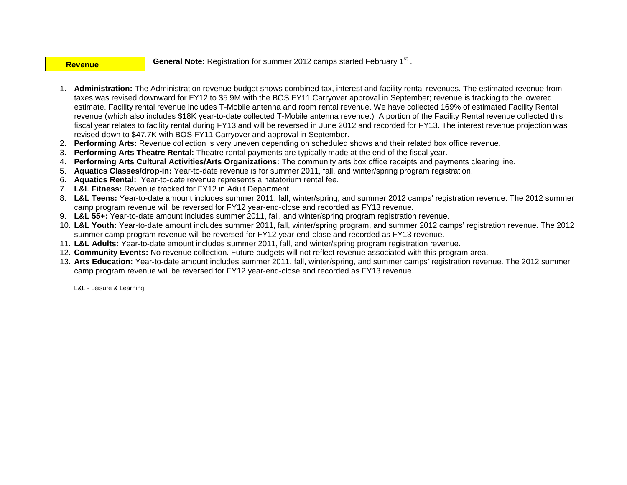#### **Revenue**

General Note: Registration for summer 2012 camps started February 1<sup>st</sup>.

- 1. **Administration:** The Administration revenue budget shows combined tax, interest and facility rental revenues. The estimated revenue from taxes was revised downward for FY12 to \$5.9M with the BOS FY11 Carryover approval in September; revenue is tracking to the lowered estimate. Facility rental revenue includes T-Mobile antenna and room rental revenue. We have collected 169% of estimated Facility Rental revenue (which also includes \$18K year-to-date collected T-Mobile antenna revenue.) A portion of the Facility Rental revenue collected this fiscal year relates to facility rental during FY13 and will be reversed in June 2012 and recorded for FY13. The interest revenue projection was revised down to \$47.7K with BOS FY11 Carryover and approval in September.
- 2. **Performing Arts:** Revenue collection is very uneven depending on scheduled shows and their related box office revenue.
- 3. **Performing Arts Theatre Rental:** Theatre rental payments are typically made at the end of the fiscal year.
- 4. **Performing Arts Cultural Activities/Arts Organizations:** The community arts box office receipts and payments clearing line.
- 5. **Aquatics Classes/drop-in:** Year-to-date revenue is for summer 2011, fall, and winter/spring program registration.
- 6. **Aquatics Rental:** Year-to-date revenue represents a natatorium rental fee.
- 7. **L&L Fitness:** Revenue tracked for FY12 in Adult Department.
- 8. **L&L Teens:** Year-to-date amount includes summer 2011, fall, winter/spring, and summer 2012 camps' registration revenue. The 2012 summer camp program revenue will be reversed for FY12 year-end-close and recorded as FY13 revenue.
- 9. **L&L 55+:** Year-to-date amount includes summer 2011, fall, and winter/spring program registration revenue.
- 10. **L&L Youth:** Year-to-date amount includes summer 2011, fall, winter/spring program, and summer 2012 camps' registration revenue. The 2012 summer camp program revenue will be reversed for FY12 year-end-close and recorded as FY13 revenue.
- 11. **L&L Adults:** Year-to-date amount includes summer 2011, fall, and winter/spring program registration revenue.
- 12. **Community Events:** No revenue collection. Future budgets will not reflect revenue associated with this program area.
- 13. **Arts Education:** Year-to-date amount includes summer 2011, fall, winter/spring, and summer camps' registration revenue. The 2012 summer camp program revenue will be reversed for FY12 year-end-close and recorded as FY13 revenue.

L&L - Leisure & Learning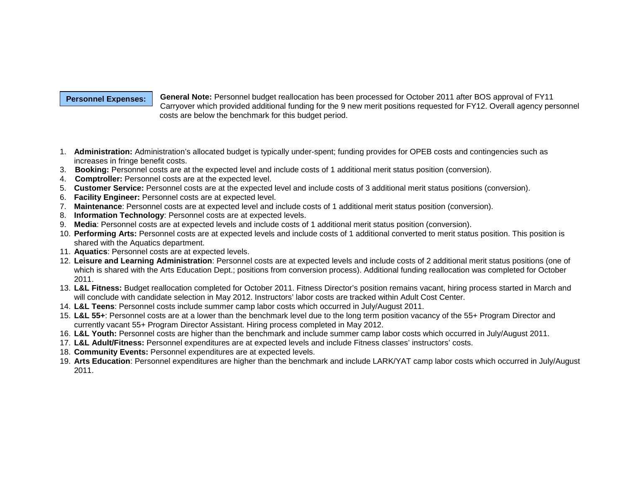#### **Personnel Expenses:**

**General Note:** Personnel budget reallocation has been processed for October 2011 after BOS approval of FY11 Carryover which provided additional funding for the 9 new merit positions requested for FY12. Overall agency personnel costs are below the benchmark for this budget period.

- 1. **Administration:** Administration's allocated budget is typically under-spent; funding provides for OPEB costs and contingencies such as increases in fringe benefit costs.
- 3. **Booking:** Personnel costs are at the expected level and include costs of 1 additional merit status position (conversion).
- 4. **Comptroller:** Personnel costs are at the expected level.
- 5. **Customer Service:** Personnel costs are at the expected level and include costs of 3 additional merit status positions (conversion).
- 6. **Facility Engineer:** Personnel costs are at expected level.
- 7. **Maintenance**: Personnel costs are at expected level and include costs of 1 additional merit status position (conversion).
- 8. **Information Technology**: Personnel costs are at expected levels.
- 9. **Media**: Personnel costs are at expected levels and include costs of 1 additional merit status position (conversion).
- 10. **Performing Arts:** Personnel costs are at expected levels and include costs of 1 additional converted to merit status position. This position is shared with the Aquatics department.
- 11. **Aquatics**: Personnel costs are at expected levels.
- 12. **Leisure and Learning Administration**: Personnel costs are at expected levels and include costs of 2 additional merit status positions (one of which is shared with the Arts Education Dept.; positions from conversion process). Additional funding reallocation was completed for October 2011.
- 13. **L&L Fitness:** Budget reallocation completed for October 2011. Fitness Director's position remains vacant, hiring process started in March and will conclude with candidate selection in May 2012. Instructors' labor costs are tracked within Adult Cost Center.
- 14. **L&L Teens**: Personnel costs include summer camp labor costs which occurred in July/August 2011.
- 15. **L&L 55+**: Personnel costs are at a lower than the benchmark level due to the long term position vacancy of the 55+ Program Director and currently vacant 55+ Program Director Assistant. Hiring process completed in May 2012.
- 16. **L&L Youth:** Personnel costs are higher than the benchmark and include summer camp labor costs which occurred in July/August 2011.
- 17. **L&L Adult/Fitness:** Personnel expenditures are at expected levels and include Fitness classes' instructors' costs.
- 18. **Community Events:** Personnel expenditures are at expected levels.
- 19. **Arts Education**: Personnel expenditures are higher than the benchmark and include LARK/YAT camp labor costs which occurred in July/August 2011.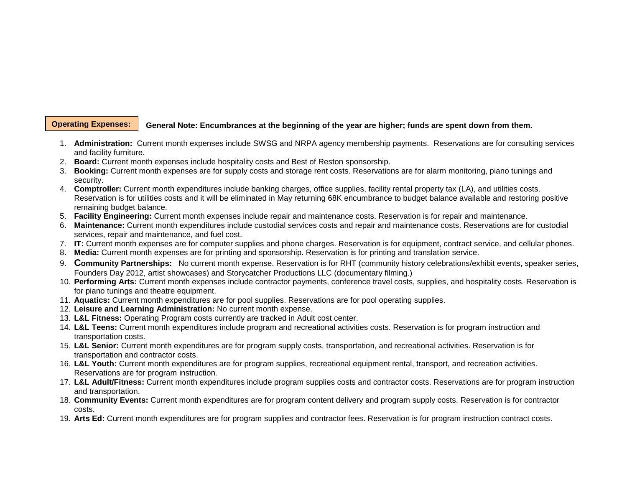#### **Operating Expenses:**

#### **General Note: Encumbrances at the beginning of the year are higher; funds are spent down from them.**

- 1. **Administration:** Current month expenses include SWSG and NRPA agency membership payments. Reservations are for consulting services and facility furniture.
- 2. **Board:** Current month expenses include hospitality costs and Best of Reston sponsorship.
- 3. **Booking:** Current month expenses are for supply costs and storage rent costs. Reservations are for alarm monitoring, piano tunings and security.
- 4. **Comptroller:** Current month expenditures include banking charges, office supplies, facility rental property tax (LA), and utilities costs. Reservation is for utilities costs and it will be eliminated in May returning 68K encumbrance to budget balance available and restoring positive remaining budget balance.
- 5. **Facility Engineering:** Current month expenses include repair and maintenance costs. Reservation is for repair and maintenance.
- 6. **Maintenance:** Current month expenditures include custodial services costs and repair and maintenance costs. Reservations are for custodial services, repair and maintenance, and fuel cost.
- 7. **IT:** Current month expenses are for computer supplies and phone charges. Reservation is for equipment, contract service, and cellular phones.
- 8. **Media:** Current month expenses are for printing and sponsorship. Reservation is for printing and translation service.
- 9. **Community Partnerships:** No current month expense. Reservation is for RHT (community history celebrations/exhibit events, speaker series, Founders Day 2012, artist showcases) and Storycatcher Productions LLC (documentary filming.)
- 10. **Performing Arts:** Current month expenses include contractor payments, conference travel costs, supplies, and hospitality costs. Reservation is for piano tunings and theatre equipment.
- 11. **Aquatics:** Current month expenditures are for pool supplies. Reservations are for pool operating supplies.
- 12. **Leisure and Learning Administration:** No current month expense.
- 13. **L&L Fitness:** Operating Program costs currently are tracked in Adult cost center.
- 14. **L&L Teens:** Current month expenditures include program and recreational activities costs. Reservation is for program instruction and transportation costs.
- 15. **L&L Senior:** Current month expenditures are for program supply costs, transportation, and recreational activities. Reservation is for transportation and contractor costs.
- 16. **L&L Youth:** Current month expenditures are for program supplies, recreational equipment rental, transport, and recreation activities. Reservations are for program instruction.
- 17. **L&L Adult/Fitness:** Current month expenditures include program supplies costs and contractor costs. Reservations are for program instruction and transportation.
- 18. **Community Events:** Current month expenditures are for program content delivery and program supply costs. Reservation is for contractor costs.
- 19. **Arts Ed:** Current month expenditures are for program supplies and contractor fees. Reservation is for program instruction contract costs.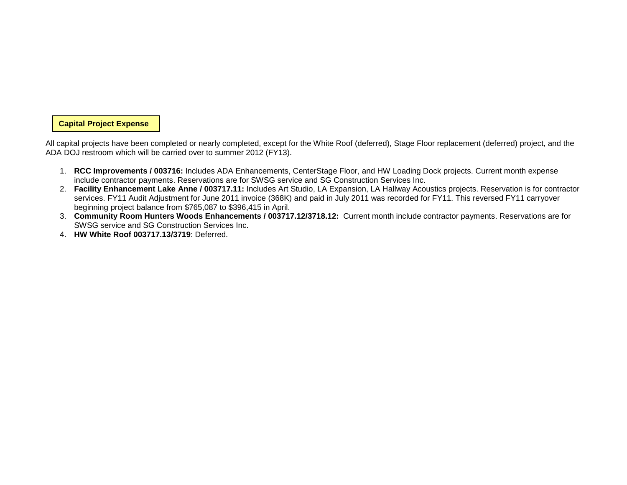#### **Capital Project Expense**

All capital projects have been completed or nearly completed, except for the White Roof (deferred), Stage Floor replacement (deferred) project, and the ADA DOJ restroom which will be carried over to summer 2012 (FY13).

- 1. **RCC Improvements / 003716:** Includes ADA Enhancements, CenterStage Floor, and HW Loading Dock projects. Current month expense include contractor payments. Reservations are for SWSG service and SG Construction Services Inc.
- 2. **Facility Enhancement Lake Anne / 003717.11:** Includes Art Studio, LA Expansion, LA Hallway Acoustics projects. Reservation is for contractor services. FY11 Audit Adjustment for June 2011 invoice (368K) and paid in July 2011 was recorded for FY11. This reversed FY11 carryover beginning project balance from \$765,087 to \$396,415 in April.
- 3. **Community Room Hunters Woods Enhancements / 003717.12/3718.12:** Current month include contractor payments. Reservations are for SWSG service and SG Construction Services Inc.
- 4. **HW White Roof 003717.13/3719**: Deferred.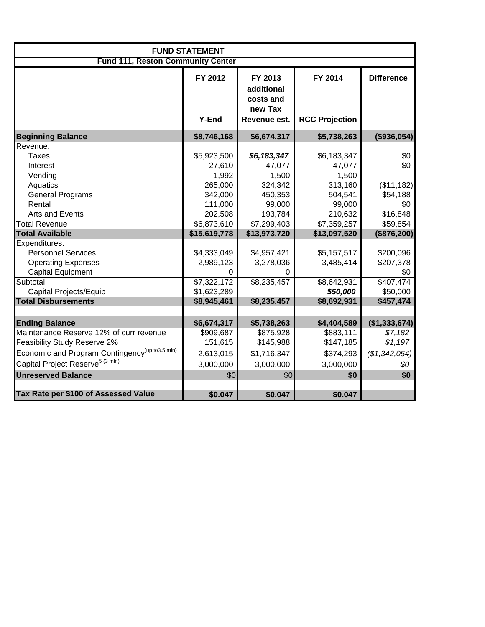|                                                                                                                                                                                                                                                                              | <b>FUND STATEMENT</b>                                                                                                                      |                                                                                                                                           |                                                                                                                                      |                                                                                                                     |  |  |  |  |
|------------------------------------------------------------------------------------------------------------------------------------------------------------------------------------------------------------------------------------------------------------------------------|--------------------------------------------------------------------------------------------------------------------------------------------|-------------------------------------------------------------------------------------------------------------------------------------------|--------------------------------------------------------------------------------------------------------------------------------------|---------------------------------------------------------------------------------------------------------------------|--|--|--|--|
| <b>Fund 111, Reston Community Center</b>                                                                                                                                                                                                                                     |                                                                                                                                            |                                                                                                                                           |                                                                                                                                      |                                                                                                                     |  |  |  |  |
|                                                                                                                                                                                                                                                                              | FY 2012<br><b>Y-End</b>                                                                                                                    | FY 2013<br>additional<br>costs and<br>new Tax<br>Revenue est.                                                                             | FY 2014<br><b>RCC Projection</b>                                                                                                     | <b>Difference</b>                                                                                                   |  |  |  |  |
| <b>Beginning Balance</b>                                                                                                                                                                                                                                                     | \$8,746,168                                                                                                                                | \$6,674,317                                                                                                                               | \$5,738,263                                                                                                                          | (\$936,054)                                                                                                         |  |  |  |  |
| Revenue:<br>Taxes<br>Interest<br>Vending<br>Aquatics<br><b>General Programs</b><br>Rental<br><b>Arts and Events</b><br><b>Total Revenue</b><br><b>Total Available</b><br>Expenditures:<br><b>Personnel Services</b><br><b>Operating Expenses</b><br><b>Capital Equipment</b> | \$5,923,500<br>27,610<br>1,992<br>265,000<br>342,000<br>111,000<br>202,508<br>\$6,873,610<br>\$15,619,778<br>\$4,333,049<br>2,989,123<br>0 | \$6,183,347<br>47,077<br>1,500<br>324,342<br>450,353<br>99,000<br>193,784<br>\$7,299,403<br>\$13,973,720<br>\$4,957,421<br>3,278,036<br>0 | \$6,183,347<br>47,077<br>1,500<br>313,160<br>504,541<br>99,000<br>210,632<br>\$7,359,257<br>\$13,097,520<br>\$5,157,517<br>3,485,414 | \$0<br>\$0<br>(\$11,182)<br>\$54,188<br>\$0<br>\$16,848<br>\$59,854<br>(\$876,200)<br>\$200,096<br>\$207,378<br>\$0 |  |  |  |  |
| Subtotal                                                                                                                                                                                                                                                                     | \$7,322,172                                                                                                                                | \$8,235,457                                                                                                                               | \$8,642,931                                                                                                                          | \$407,474                                                                                                           |  |  |  |  |
| Capital Projects/Equip                                                                                                                                                                                                                                                       | \$1,623,289                                                                                                                                |                                                                                                                                           | \$50,000                                                                                                                             | \$50,000                                                                                                            |  |  |  |  |
| <b>Total Disbursements</b>                                                                                                                                                                                                                                                   | \$8,945,461                                                                                                                                | \$8,235,457                                                                                                                               | \$8,692,931                                                                                                                          | \$457,474                                                                                                           |  |  |  |  |
| <b>Ending Balance</b><br>Maintenance Reserve 12% of curr revenue<br>Feasibility Study Reserve 2%<br>Economic and Program Contingency <sup>(up to 3.5 mln)</sup><br>Capital Project Reserve <sup>5 (3 mln)</sup><br><b>Unreserved Balance</b>                                 | \$6,674,317<br>\$909,687<br>151,615<br>2,613,015<br>3,000,000<br>\$0                                                                       | \$5,738,263<br>\$875,928<br>\$145,988<br>\$1,716,347<br>3,000,000<br>\$0                                                                  | \$4,404,589<br>\$883,111<br>\$147,185<br>\$374,293<br>3,000,000<br>\$0                                                               | (\$1,333,674)<br>\$7,182<br>\$1,197<br>(\$1,342,054)<br>\$0<br>\$0                                                  |  |  |  |  |
| Tax Rate per \$100 of Assessed Value                                                                                                                                                                                                                                         | \$0.047                                                                                                                                    | \$0.047                                                                                                                                   | \$0.047                                                                                                                              |                                                                                                                     |  |  |  |  |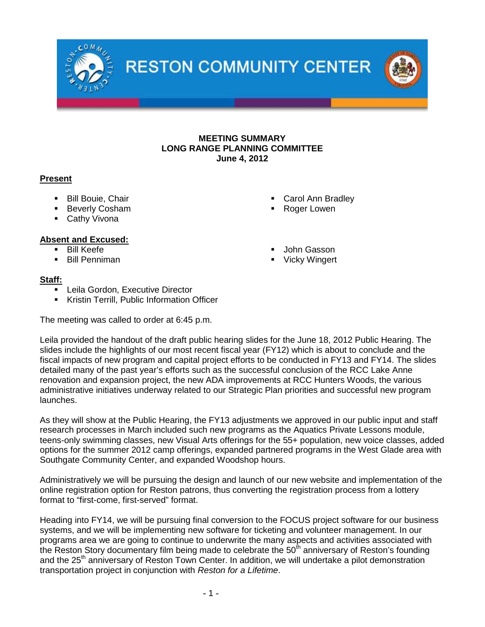

# **MEETING SUMMARY LONG RANGE PLANNING COMMITTEE June 4, 2012**

# **Present**

- **Bill Bouie, Chair**
- **Beverly Cosham**
- **Cathy Vivona**

# **Absent and Excused:**

- **Bill Keefe**
- **Bill Penniman**
- Carol Ann Bradley
- Roger Lowen
- John Gasson
- Vicky Wingert

# **Staff:**

- Leila Gordon, Executive Director
- Kristin Terrill, Public Information Officer

The meeting was called to order at 6:45 p.m.

Leila provided the handout of the draft public hearing slides for the June 18, 2012 Public Hearing. The slides include the highlights of our most recent fiscal year (FY12) which is about to conclude and the fiscal impacts of new program and capital project efforts to be conducted in FY13 and FY14. The slides detailed many of the past year's efforts such as the successful conclusion of the RCC Lake Anne renovation and expansion project, the new ADA improvements at RCC Hunters Woods, the various administrative initiatives underway related to our Strategic Plan priorities and successful new program launches.

As they will show at the Public Hearing, the FY13 adjustments we approved in our public input and staff research processes in March included such new programs as the Aquatics Private Lessons module, teens-only swimming classes, new Visual Arts offerings for the 55+ population, new voice classes, added options for the summer 2012 camp offerings, expanded partnered programs in the West Glade area with Southgate Community Center, and expanded Woodshop hours.

Administratively we will be pursuing the design and launch of our new website and implementation of the online registration option for Reston patrons, thus converting the registration process from a lottery format to "first-come, first-served" format.

Heading into FY14, we will be pursuing final conversion to the FOCUS project software for our business systems, and we will be implementing new software for ticketing and volunteer management. In our programs area we are going to continue to underwrite the many aspects and activities associated with the Reston Story documentary film being made to celebrate the 50<sup>th</sup> anniversary of Reston's founding and the 25<sup>th</sup> anniversary of Reston Town Center. In addition, we will undertake a pilot demonstration transportation project in conjunction with *Reston for a Lifetime*.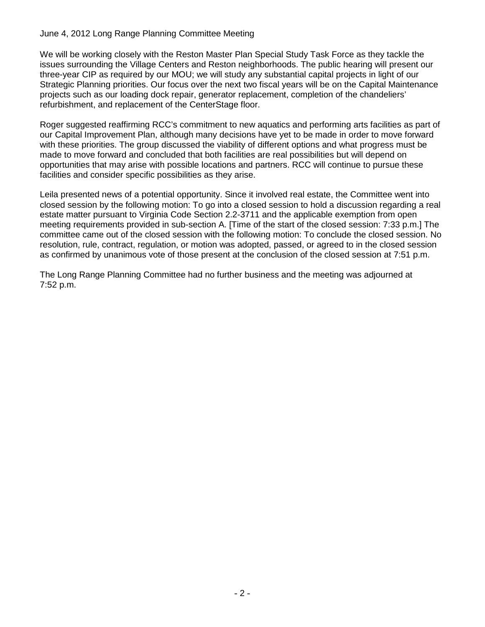# June 4, 2012 Long Range Planning Committee Meeting

We will be working closely with the Reston Master Plan Special Study Task Force as they tackle the issues surrounding the Village Centers and Reston neighborhoods. The public hearing will present our three-year CIP as required by our MOU; we will study any substantial capital projects in light of our Strategic Planning priorities. Our focus over the next two fiscal years will be on the Capital Maintenance projects such as our loading dock repair, generator replacement, completion of the chandeliers' refurbishment, and replacement of the CenterStage floor.

Roger suggested reaffirming RCC's commitment to new aquatics and performing arts facilities as part of our Capital Improvement Plan, although many decisions have yet to be made in order to move forward with these priorities. The group discussed the viability of different options and what progress must be made to move forward and concluded that both facilities are real possibilities but will depend on opportunities that may arise with possible locations and partners. RCC will continue to pursue these facilities and consider specific possibilities as they arise.

Leila presented news of a potential opportunity. Since it involved real estate, the Committee went into closed session by the following motion: To go into a closed session to hold a discussion regarding a real estate matter pursuant to Virginia Code Section 2.2-3711 and the applicable exemption from open meeting requirements provided in sub-section A. [Time of the start of the closed session: 7:33 p.m.] The committee came out of the closed session with the following motion: To conclude the closed session. No resolution, rule, contract, regulation, or motion was adopted, passed, or agreed to in the closed session as confirmed by unanimous vote of those present at the conclusion of the closed session at 7:51 p.m.

The Long Range Planning Committee had no further business and the meeting was adjourned at 7:52 p.m.